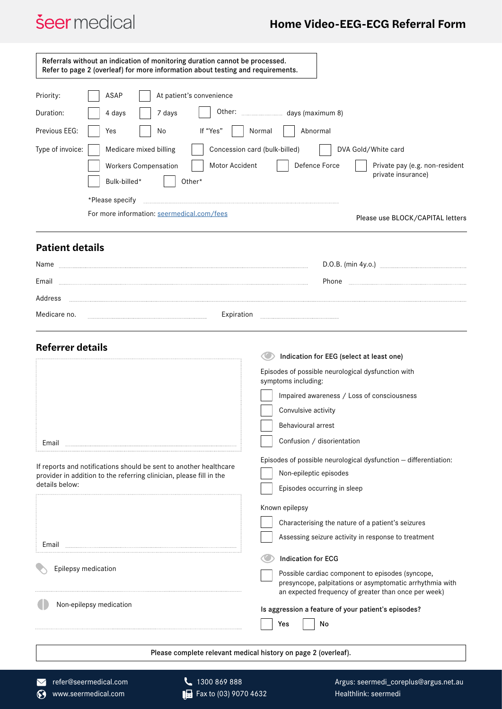## *<u>Seer</u>* medical

## **Home Video-EEG-ECG Referral Form**

|                                                                     | Referrals without an indication of monitoring duration cannot be processed.<br>Refer to page 2 (overleaf) for more information about testing and requirements. |                                                                                                                                                                      |
|---------------------------------------------------------------------|----------------------------------------------------------------------------------------------------------------------------------------------------------------|----------------------------------------------------------------------------------------------------------------------------------------------------------------------|
|                                                                     |                                                                                                                                                                |                                                                                                                                                                      |
| Priority:                                                           | ASAP<br>At patient's convenience                                                                                                                               |                                                                                                                                                                      |
| Duration:                                                           | 4 days<br>7 days                                                                                                                                               |                                                                                                                                                                      |
| If "Yes"<br>Previous EEG:<br>Yes<br>No<br>Abnormal<br>Normal        |                                                                                                                                                                |                                                                                                                                                                      |
| Type of invoice:                                                    | Medicare mixed billing                                                                                                                                         | Concession card (bulk-billed)<br>DVA Gold/White card                                                                                                                 |
|                                                                     | Motor Accident<br><b>Workers Compensation</b>                                                                                                                  | Defence Force<br>Private pay (e.g. non-resident<br>private insurance)                                                                                                |
|                                                                     | Bulk-billed*<br>Other*                                                                                                                                         |                                                                                                                                                                      |
|                                                                     | *Please specify                                                                                                                                                |                                                                                                                                                                      |
|                                                                     | For more information: seermedical.com/fees                                                                                                                     | Please use BLOCK/CAPITAL letters                                                                                                                                     |
| <b>Patient details</b>                                              |                                                                                                                                                                |                                                                                                                                                                      |
| Name                                                                |                                                                                                                                                                |                                                                                                                                                                      |
| Email                                                               |                                                                                                                                                                | Phone                                                                                                                                                                |
| Address                                                             |                                                                                                                                                                |                                                                                                                                                                      |
| Medicare no.<br>Expiration                                          |                                                                                                                                                                |                                                                                                                                                                      |
| <b>Referrer details</b><br>Indication for EEG (select at least one) |                                                                                                                                                                |                                                                                                                                                                      |
|                                                                     |                                                                                                                                                                | Episodes of possible neurological dysfunction with<br>symptoms including:                                                                                            |
|                                                                     |                                                                                                                                                                | Impaired awareness / Loss of consciousness                                                                                                                           |
|                                                                     |                                                                                                                                                                | Convulsive activity                                                                                                                                                  |
|                                                                     |                                                                                                                                                                | Behavioural arrest                                                                                                                                                   |
| Email                                                               |                                                                                                                                                                | Confusion / disorientation                                                                                                                                           |
|                                                                     |                                                                                                                                                                | Episodes of possible neurological dysfunction - differentiation:                                                                                                     |
|                                                                     | If reports and notifications should be sent to another healthcare<br>provider in addition to the referring clinician, please fill in the                       | Non-epileptic episodes                                                                                                                                               |
| details below:                                                      |                                                                                                                                                                | Episodes occurring in sleep                                                                                                                                          |
|                                                                     |                                                                                                                                                                | Known epilepsy                                                                                                                                                       |
|                                                                     |                                                                                                                                                                | Characterising the nature of a patient's seizures                                                                                                                    |
| Email                                                               |                                                                                                                                                                | Assessing seizure activity in response to treatment                                                                                                                  |
|                                                                     |                                                                                                                                                                | <b>Indication for ECG</b>                                                                                                                                            |
| Epilepsy medication                                                 |                                                                                                                                                                | Possible cardiac component to episodes (syncope,<br>presyncope, palpitations or asymptomatic arrhythmia with<br>an expected frequency of greater than once per week) |
| Non-epilepsy medication                                             |                                                                                                                                                                | Is aggression a feature of your patient's episodes?<br>Yes<br>No                                                                                                     |
| Please complete relevant medical history on page 2 (overleaf).      |                                                                                                                                                                |                                                                                                                                                                      |
|                                                                     |                                                                                                                                                                |                                                                                                                                                                      |

**Fax to (03) 9070 4632** The [refer@seermedical.com](mailto:refer%40seermedical.com?subject=) **1300 869 888**